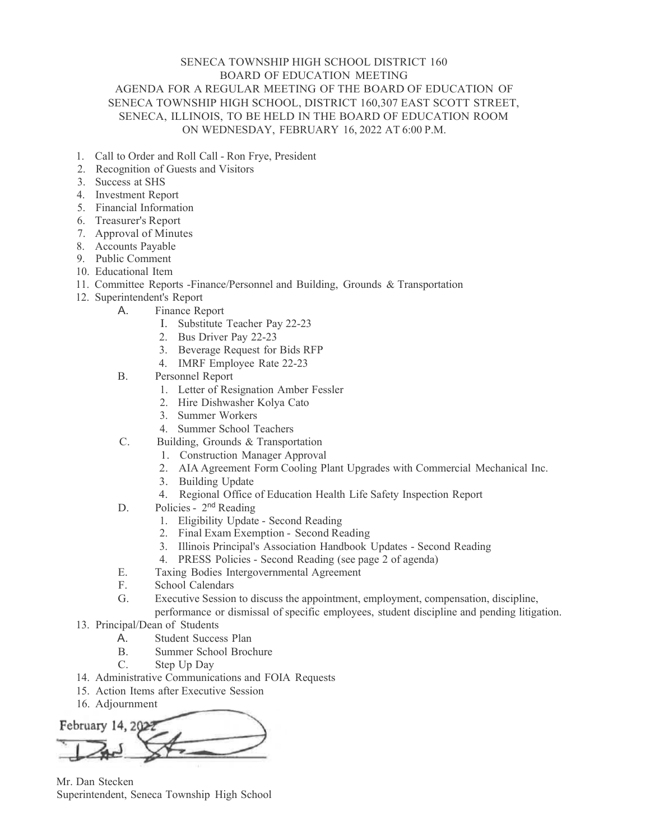## SENECA TOWNSHIP HIGH SCHOOL DISTRICT 160 BOARD OF EDUCATION MEETING AGENDA FOR A REGULAR MEETING OF THE BOARD OF EDUCATION OF SENECA TOWNSHIP HIGH SCHOOL, DISTRICT 160,307 EAST SCOTT STREET, SENECA, ILLINOIS, TO BE HELD IN THE BOARD OF EDUCATION ROOM ON WEDNESDAY, FEBRUARY 16, 2022 AT 6:00 P.M.

- 1. Call to Order and Roll Call Ron Frye, President
- 2. Recognition of Guests and Visitors
- 3. Success at SHS
- 4. Investment Report
- 5. Financial Information
- 6. Treasurer's Report
- 7. Approval of Minutes
- 8. Accounts Payable
- 9. Public Comment
- 10. Educational Item
- 11. Committee Reports -Finance/Personnel and Building, Grounds & Transportation
- 12. Superintendent's Report
	- A. Finance Report
		- I. Substitute Teacher Pay 22-23
		- 2. Bus Driver Pay 22-23
		- 3. Beverage Request for Bids RFP
		- 4. IMRF Employee Rate 22-23
	- B. Personnel Report
		- 1. Letter of Resignation Amber Fessler
		- 2. Hire Dishwasher Kolya Cato
		- 3. Summer Workers
		- 4. Summer School Teachers
	- C. Building, Grounds & Transportation
		- 1. Construction Manager Approval
		- 2. AIA Agreement Form Cooling Plant Upgrades with Commercial Mechanical Inc.
		- 3. Building Update
		- 4. Regional Office of Education Health Life Safety Inspection Report
	- D. Policies 2<sup>nd</sup> Reading
		- 1. Eligibility Update Second Reading
		- 2. Final Exam Exemption Second Reading
		- 3. Illinois Principal's Association Handbook Updates Second Reading
		- 4. PRESS Policies Second Reading (see page 2 of agenda)
	- E. Taxing Bodies Intergovernmental Agreement
	- F. School Calendars
	- G. Executive Session to discuss the appointment, employment, compensation, discipline, performance or dismissal of specific employees, student discipline and pending litigation.
- 13. Principal/Dean of Students
	- A. Student Success Plan
	- B. Summer School Brochure
	- C. Step Up Day
- 14. Administrative Communications and FOIA Requests
- 15. Action Items after Executive Session
- 16. Adjournment

February 14, 2023

Mr. Dan Stecken Superintendent, Seneca Township High School